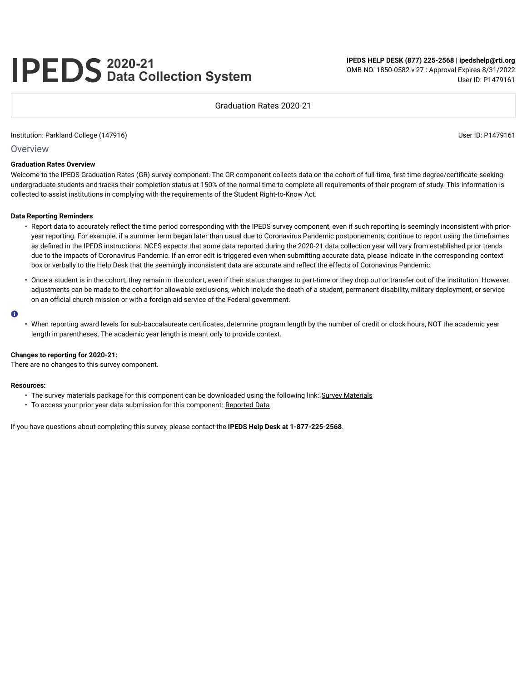# **2020-21 Data Collection System**

**IPEDS HELP DESK (877) 225-2568 | ipedshelp@rti.org** OMB NO. 1850-0582 v.27 : Approval Expires 8/31/2022 User ID: P1479161

Graduation Rates 2020-21

Institution: Parkland College (147916) User ID: P1479161

**Overview** 

#### **Graduation Rates Overview**

Welcome to the IPEDS Graduation Rates (GR) survey component. The GR component collects data on the cohort of full-time, first-time degree/certificate-seeking undergraduate students and tracks their completion status at 150% of the normal time to complete all requirements of their program of study. This information is collected to assist institutions in complying with the requirements of the Student Right-to-Know Act.

#### **Data Reporting Reminders**

- Report data to accurately reflect the time period corresponding with the IPEDS survey component, even if such reporting is seemingly inconsistent with prioryear reporting. For example, if a summer term began later than usual due to Coronavirus Pandemic postponements, continue to report using the timeframes as defined in the IPEDS instructions. NCES expects that some data reported during the 2020-21 data collection year will vary from established prior trends due to the impacts of Coronavirus Pandemic. If an error edit is triggered even when submitting accurate data, please indicate in the corresponding context box or verbally to the Help Desk that the seemingly inconsistent data are accurate and reflect the effects of Coronavirus Pandemic.
- Once a student is in the cohort, they remain in the cohort, even if their status changes to part-time or they drop out or transfer out of the institution. However, adjustments can be made to the cohort for allowable exclusions, which include the death of a student, permanent disability, military deployment, or service on an official church mission or with a foreign aid service of the Federal government.

#### $\bullet$

• When reporting award levels for sub-baccalaureate certificates, determine program length by the number of credit or clock hours, NOT the academic year length in parentheses. The academic year length is meant only to provide context.

#### **Changes to reporting for 2020-21:**

There are no changes to this survey component.

#### **Resources:**

- The survey materials package for this component can be downloaded using the following link: Survey Materials
- To access your prior year data submission for this component: Reported Data

If you have questions about completing this survey, please contact the **IPEDS Help Desk at 1-877-225-2568**.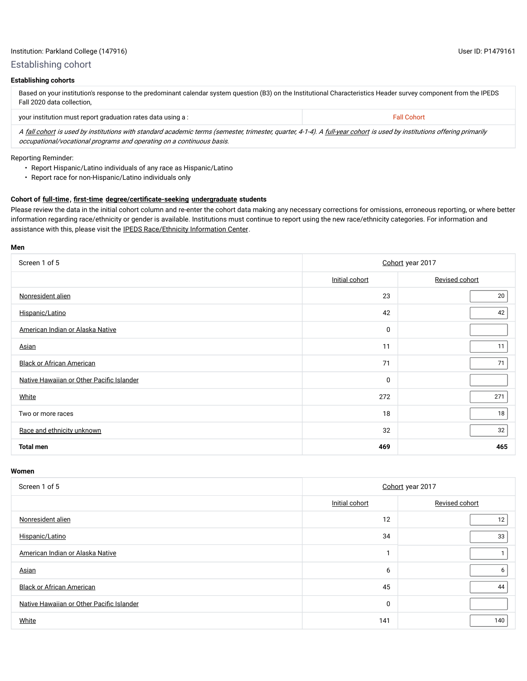## Establishing cohort

## **Establishing cohorts**

Based on your institution's response to the predominant calendar system question (B3) on the Institutional Characteristics Header survey component from the IPEDS Fall 2020 data collection,

| your institution must report graduation rates data using a :                                                                                                            | <b>Fall Cohort</b> |
|-------------------------------------------------------------------------------------------------------------------------------------------------------------------------|--------------------|
| A fall cohort is used by institutions with standard academic terms (semester, trimester, quarter, 4-1-4). A full-year cohort is used by institutions offering primarily |                    |

occupational/vocational programs and operating on a continuous basis.

#### Reporting Reminder:

- Report Hispanic/Latino individuals of any race as Hispanic/Latino
- Report race for non-Hispanic/Latino individuals only

#### **Cohort of full-time, first-time degree/certificate-seeking undergraduate students**

Please review the data in the initial cohort column and re-enter the cohort data making any necessary corrections for omissions, erroneous reporting, or where better information regarding race/ethnicity or gender is available. Institutions must continue to report using the new race/ethnicity categories. For information and assistance with this, please visit the IPEDS Race/Ethnicity Information Center.

#### **Men**

| Screen 1 of 5                             | Cohort year 2017 |                |  |
|-------------------------------------------|------------------|----------------|--|
|                                           | Initial cohort   | Revised cohort |  |
| Nonresident alien                         | 23               | 20             |  |
| Hispanic/Latino                           | 42               | 42             |  |
| American Indian or Alaska Native          | 0                |                |  |
| Asian                                     | 11               | 11             |  |
| <b>Black or African American</b>          | 71               | 71             |  |
| Native Hawaiian or Other Pacific Islander | 0                |                |  |
| White                                     | 272              | 271            |  |
| Two or more races                         | 18               | 18             |  |
| Race and ethnicity unknown                | 32               | 32             |  |
| <b>Total men</b>                          | 469              | 465            |  |

#### **Women**

| Screen 1 of 5                             | Cohort year 2017 |                |  |
|-------------------------------------------|------------------|----------------|--|
|                                           | Initial cohort   | Revised cohort |  |
| Nonresident alien                         | 12               | 12             |  |
| Hispanic/Latino                           | 34               | 33             |  |
| American Indian or Alaska Native          | и                |                |  |
| Asian                                     | 6                | 6              |  |
| <b>Black or African American</b>          | 45               | 44             |  |
| Native Hawaiian or Other Pacific Islander | 0                |                |  |
| White                                     | 141              | 140            |  |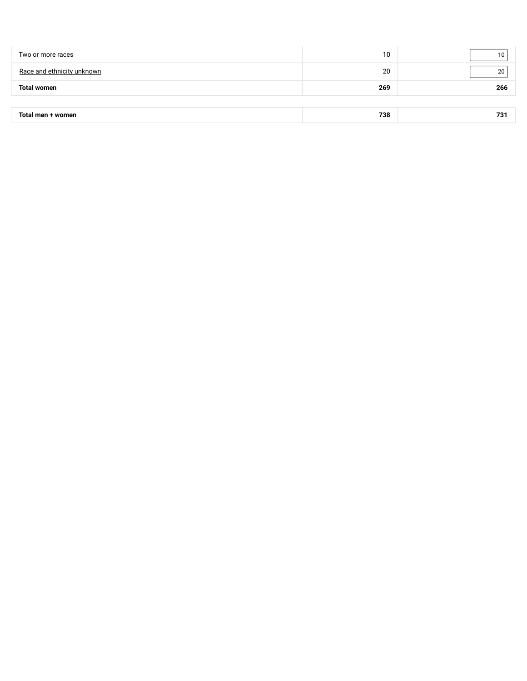| Two or more races          | 10  |     |
|----------------------------|-----|-----|
| Race and ethnicity unknown | 20  | 20  |
| <b>Total women</b>         | 269 | 266 |
|                            |     |     |
| Total men + women          | 738 | 731 |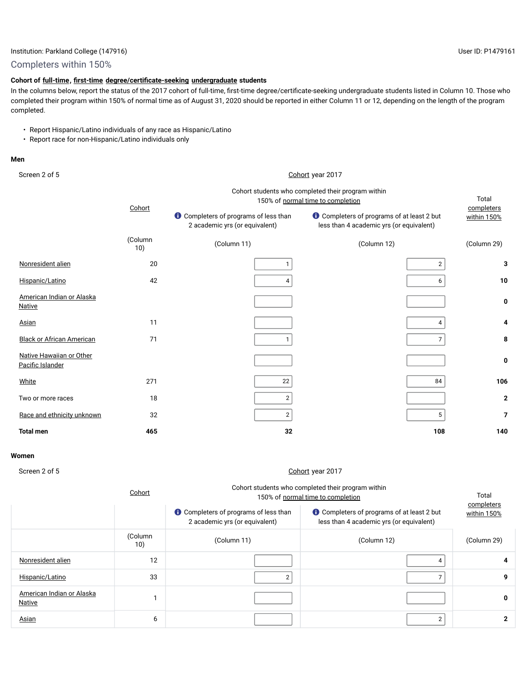## **Cohort of full-time, first-time degree/certificate-seeking undergraduate students**

In the columns below, report the status of the 2017 cohort of full-time, first-time degree/certificate-seeking undergraduate students listed in Column 10. Those who completed their program within 150% of normal time as of August 31, 2020 should be reported in either Column 11 or 12, depending on the length of the program completed.

- Report Hispanic/Latino individuals of any race as Hispanic/Latino
- Report race for non-Hispanic/Latino individuals only

#### **Men**

Screen 2 of 5 Cohort year 2017

|                                              |                | Cohort students who completed their program within<br>150% of normal time to completion | Total                                                                                         |                           |
|----------------------------------------------|----------------|-----------------------------------------------------------------------------------------|-----------------------------------------------------------------------------------------------|---------------------------|
|                                              | Cohort         | <b>O</b> Completers of programs of less than<br>2 academic yrs (or equivalent)          | <b>O</b> Completers of programs of at least 2 but<br>less than 4 academic yrs (or equivalent) | completers<br>within 150% |
|                                              | (Column<br>10) | (Column 11)                                                                             | (Column 12)                                                                                   | (Column 29)               |
| Nonresident alien                            | 20             |                                                                                         | $\overline{2}$                                                                                | 3                         |
| Hispanic/Latino                              | 42             | 4                                                                                       | 6                                                                                             | 10                        |
| American Indian or Alaska<br><b>Native</b>   |                |                                                                                         |                                                                                               | 0                         |
| <b>Asian</b>                                 | 11             |                                                                                         | 4                                                                                             | 4                         |
| <b>Black or African American</b>             | 71             |                                                                                         |                                                                                               | 8                         |
| Native Hawaiian or Other<br>Pacific Islander |                |                                                                                         |                                                                                               | 0                         |
| White                                        | 271            | 22                                                                                      | 84                                                                                            | 106                       |
| Two or more races                            | 18             | $\overline{2}$                                                                          |                                                                                               | $\mathbf{2}$              |
| Race and ethnicity unknown                   | 32             | $\overline{2}$                                                                          | 5                                                                                             | 7                         |
| <b>Total men</b>                             | 465            | 32                                                                                      | 108                                                                                           | 140                       |

#### **Women**

Screen 2 of 5 Cohort year 2017

|                                     | Cohort         | Cohort students who completed their program within<br>150% of normal time to completion | Total                                                                                         |                           |
|-------------------------------------|----------------|-----------------------------------------------------------------------------------------|-----------------------------------------------------------------------------------------------|---------------------------|
|                                     |                | <b>O</b> Completers of programs of less than<br>2 academic yrs (or equivalent)          | <b>O</b> Completers of programs of at least 2 but<br>less than 4 academic yrs (or equivalent) | completers<br>within 150% |
|                                     | (Column<br>10) | (Column 11)                                                                             | (Column 12)                                                                                   | (Column 29)               |
| Nonresident alien                   | 12             |                                                                                         |                                                                                               | 4                         |
| Hispanic/Latino                     | 33             |                                                                                         |                                                                                               | 9                         |
| American Indian or Alaska<br>Native |                |                                                                                         |                                                                                               | 0                         |
| Asian                               | 6              |                                                                                         | 2                                                                                             | 2                         |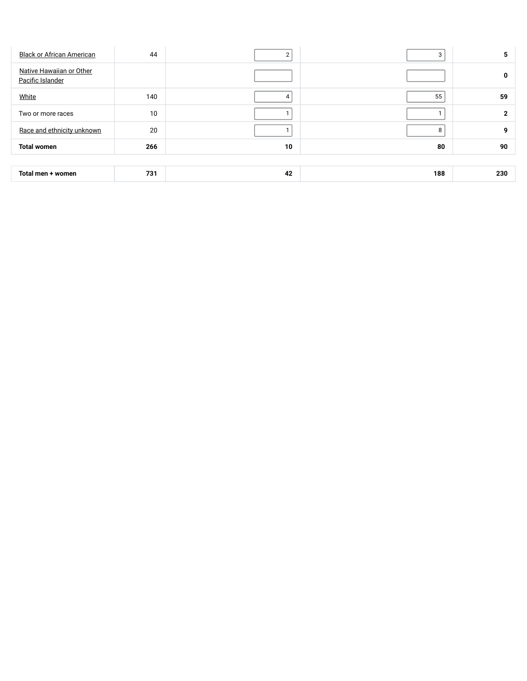| <b>Black or African American</b>             | 44  | $\sim$ | 3   | 5              |  |
|----------------------------------------------|-----|--------|-----|----------------|--|
| Native Hawaiian or Other<br>Pacific Islander |     |        |     | 0              |  |
| White                                        | 140 | 4      | 55  | 59             |  |
| Two or more races                            | 10  |        |     | $\overline{2}$ |  |
| Race and ethnicity unknown                   | 20  |        | 8   | 9              |  |
| <b>Total women</b>                           | 266 | 10     | 80  | 90             |  |
|                                              |     |        |     |                |  |
| Total men + women                            | 731 | 42     | 188 | 230            |  |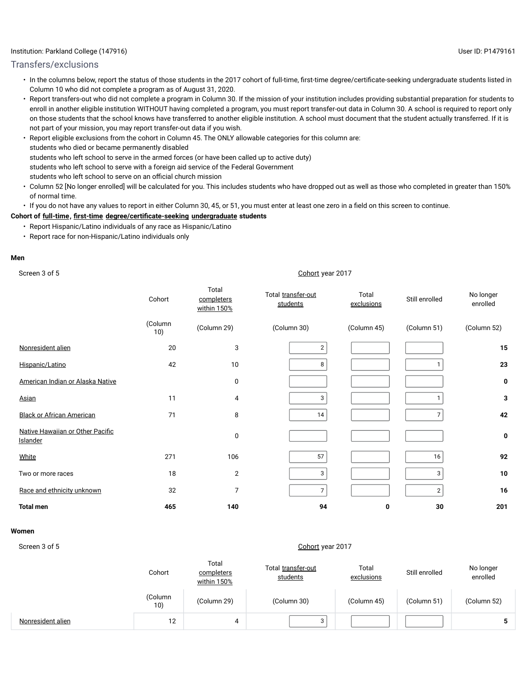## Transfers/exclusions

- In the columns below, report the status of those students in the 2017 cohort of full-time, first-time degree/certificate-seeking undergraduate students listed in Column 10 who did not complete a program as of August 31, 2020.
- Report transfers-out who did not complete a program in Column 30. If the mission of your institution includes providing substantial preparation for students to enroll in another eligible institution WITHOUT having completed a program, you must report transfer-out data in Column 30. A school is required to report only on those students that the school knows have transferred to another eligible institution. A school must document that the student actually transferred. If it is not part of your mission, you may report transfer-out data if you wish.
- Report eligible exclusions from the cohort in Column 45. The ONLY allowable categories for this column are: students who died or became permanently disabled students who left school to serve in the armed forces (or have been called up to active duty) students who left school to serve with a foreign aid service of the Federal Government students who left school to serve on an official church mission
- Column 52 [No longer enrolled] will be calculated for you. This includes students who have dropped out as well as those who completed in greater than 150% of normal time.
- If you do not have any values to report in either Column 30, 45, or 51, you must enter at least one zero in a field on this screen to continue.

## **Cohort of full-time, first-time degree/certificate-seeking undergraduate students**

- Report Hispanic/Latino individuals of any race as Hispanic/Latino
- Report race for non-Hispanic/Latino individuals only

#### **Men**

|                                                     | Cohort         | Total<br>completers<br>within 150% | Total transfer-out<br>students | Total<br>exclusions | Still enrolled | No longer<br>enrolled |
|-----------------------------------------------------|----------------|------------------------------------|--------------------------------|---------------------|----------------|-----------------------|
|                                                     | (Column<br>10) | (Column 29)                        | (Column 30)                    | (Column 45)         | (Column 51)    | (Column 52)           |
| Nonresident alien                                   | 20             | 3                                  | $\overline{2}$                 |                     |                | 15                    |
| Hispanic/Latino                                     | 42             | 10                                 | 8                              |                     |                | 23                    |
| American Indian or Alaska Native                    |                | 0                                  |                                |                     |                | 0                     |
| Asian                                               | 11             | 4                                  | 3                              |                     |                | 3                     |
| <b>Black or African American</b>                    | 71             | 8                                  | 14                             |                     |                | 42                    |
| Native Hawaiian or Other Pacific<br><b>Islander</b> |                | 0                                  |                                |                     |                | 0                     |
| White                                               | 271            | 106                                | 57                             |                     | 16             | 92                    |
| Two or more races                                   | 18             | $\overline{2}$                     | 3                              |                     | 3              | 10                    |
| Race and ethnicity unknown                          | 32             | 7                                  | $\overline{7}$                 |                     | $\overline{2}$ | 16                    |
| <b>Total men</b>                                    | 465            | 140                                | 94                             | 0                   | 30             | 201                   |

#### **Women**

#### Screen 3 of 5 Cohort year 2017

|                   | Cohort         | Total<br>completers<br><u>within 150%</u> | Total transfer-out<br>students | Total<br>exclusions | Still enrolled | No longer<br>enrolled |
|-------------------|----------------|-------------------------------------------|--------------------------------|---------------------|----------------|-----------------------|
|                   | (Column<br>10) | (Column 29)                               | (Column 30)                    | (Column 45)         | (Column 51)    | (Column 52)           |
| Nonresident alien | 12             | 4                                         | 3                              |                     |                |                       |

## Screen 3 of 5 Cohort year 2017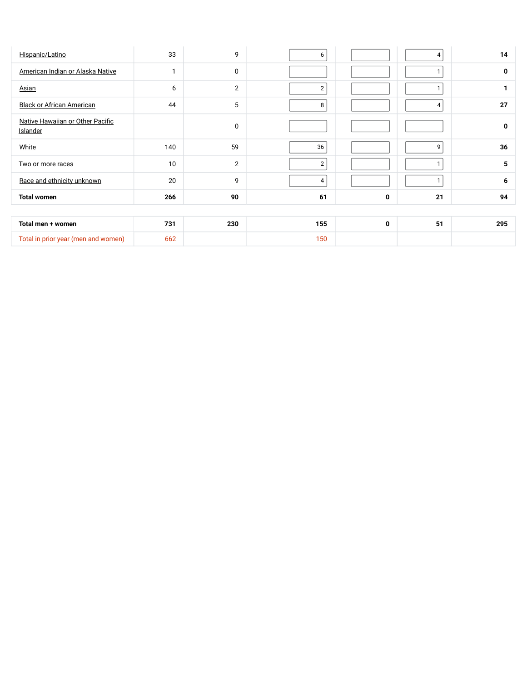| Hispanic/Latino                              | 33           | 9              | 6              |   | 4  | 14           |
|----------------------------------------------|--------------|----------------|----------------|---|----|--------------|
| American Indian or Alaska Native             | $\mathbf{1}$ | 0              |                |   |    | $\mathbf 0$  |
| Asian                                        | 6            | $\overline{2}$ | $\overline{2}$ |   |    | $\mathbf{1}$ |
| <b>Black or African American</b>             | 44           | 5              | 8              |   | 4  | 27           |
| Native Hawaiian or Other Pacific<br>Islander |              | $\mathbf 0$    |                |   |    | $\mathbf 0$  |
| White                                        | 140          | 59             | 36             |   | 9  | 36           |
| Two or more races                            | 10           | $\overline{2}$ | $\overline{2}$ |   |    | 5            |
| Race and ethnicity unknown                   | 20           | 9              | 4              |   |    | 6            |
| <b>Total women</b>                           | 266          | 90             | 61             | 0 | 21 | 94           |
|                                              |              |                |                |   |    |              |
| Total men + women                            | 731          | 230            | 155            | 0 | 51 | 295          |
| Total in prior year (men and women)          | 662          |                | 150            |   |    |              |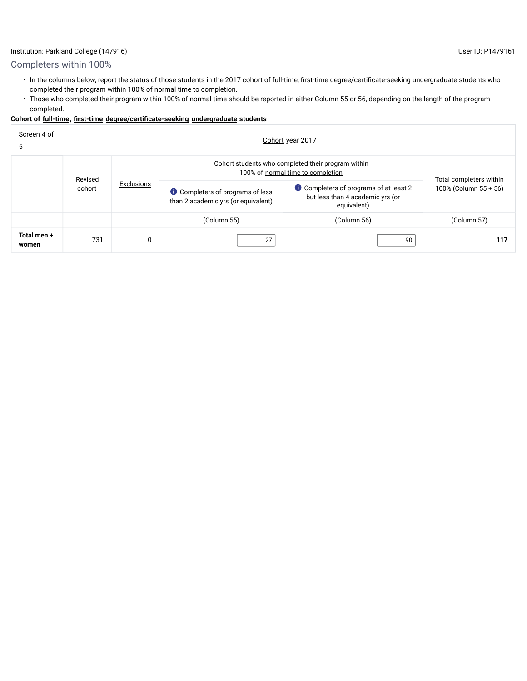## Completers within 100%

- In the columns below, report the status of those students in the 2017 cohort of full-time, first-time degree/certificate-seeking undergraduate students who completed their program within 100% of normal time to completion.
- Those who completed their program within 100% of normal time should be reported in either Column 55 or 56, depending on the length of the program completed.

## **Cohort of full-time, first-time degree/certificate-seeking undergraduate students**

| Screen 4 of<br>э     | Cohort year 2017 |                                                                                |                                                                                         |                         |             |  |  |  |
|----------------------|------------------|--------------------------------------------------------------------------------|-----------------------------------------------------------------------------------------|-------------------------|-------------|--|--|--|
|                      |                  |                                                                                | Cohort students who completed their program within<br>100% of normal time to completion | Total completers within |             |  |  |  |
| Revised<br>cohort    | Exclusions       | <b>C</b> Completers of programs of less<br>than 2 academic yrs (or equivalent) | Completers of programs of at least 2<br>but less than 4 academic yrs (or<br>equivalent) | 100% (Column 55 + 56)   |             |  |  |  |
|                      |                  |                                                                                | (Column 55)<br>(Column 56)                                                              |                         | (Column 57) |  |  |  |
| Total men +<br>women | 731              | 0                                                                              | 27                                                                                      | 90                      | 117         |  |  |  |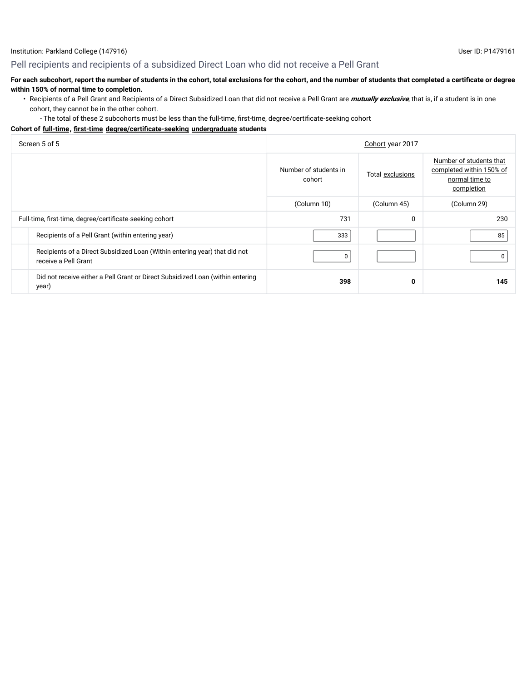# Pell recipients and recipients of a subsidized Direct Loan who did not receive a Pell Grant

## **For each subcohort, report the number of students in the cohort, total exclusions for the cohort, and the number of students that completed a certificate or degree within 150% of normal time to completion.**

- Recipients of a Pell Grant and Recipients of a Direct Subsidized Loan that did not receive a Pell Grant are **mutually exclusive**, that is, if a student is in one cohort, they cannot be in the other cohort.
	- The total of these 2 subcohorts must be less than the full-time, first-time, degree/certificate-seeking cohort

#### **Cohort of full-time, first-time degree/certificate-seeking undergraduate students**

| Screen 5 of 5                                                                                      |                                 | Cohort year 2017 |                                                                                     |
|----------------------------------------------------------------------------------------------------|---------------------------------|------------------|-------------------------------------------------------------------------------------|
|                                                                                                    | Number of students in<br>cohort | Total exclusions | Number of students that<br>completed within 150% of<br>normal time to<br>completion |
|                                                                                                    | (Column 10)                     | (Column 45)      | (Column 29)                                                                         |
| Full-time, first-time, degree/certificate-seeking cohort                                           | 731                             | $\Omega$         | 230                                                                                 |
| Recipients of a Pell Grant (within entering year)                                                  | 333                             |                  | 85                                                                                  |
| Recipients of a Direct Subsidized Loan (Within entering year) that did not<br>receive a Pell Grant | 0                               |                  | 0                                                                                   |
| Did not receive either a Pell Grant or Direct Subsidized Loan (within entering<br>year)            | 398                             | 0                | 145                                                                                 |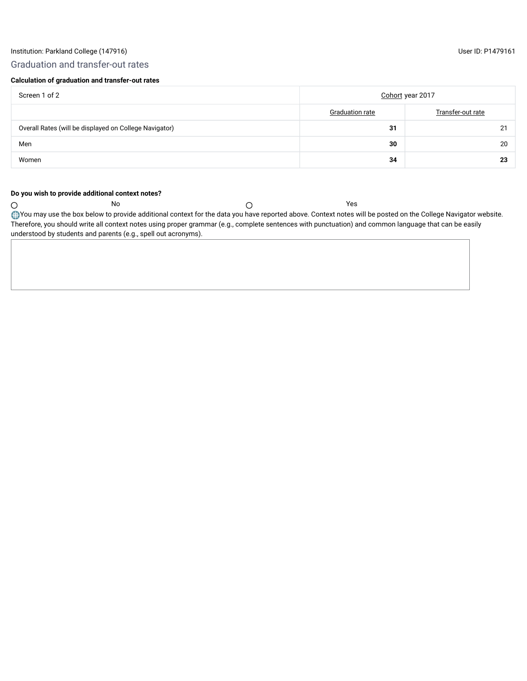## Graduation and transfer-out rates

## **Calculation of graduation and transfer-out rates**

| Screen 1 of 2                                          | Cohort year 2017       |                   |  |  |
|--------------------------------------------------------|------------------------|-------------------|--|--|
|                                                        | <b>Graduation rate</b> | Transfer-out rate |  |  |
| Overall Rates (will be displayed on College Navigator) | 31                     | 21                |  |  |
| Men                                                    | 30                     | 20                |  |  |
| Women                                                  | 34                     | 23                |  |  |

## **Do you wish to provide additional context notes?**

 $\bigcirc$ No Yes You may use the box below to provide additional context for the data you have reported above. Context notes will be posted on the College Navigator website. Therefore, you should write all context notes using proper grammar (e.g., complete sentences with punctuation) and common language that can be easily understood by students and parents (e.g., spell out acronyms).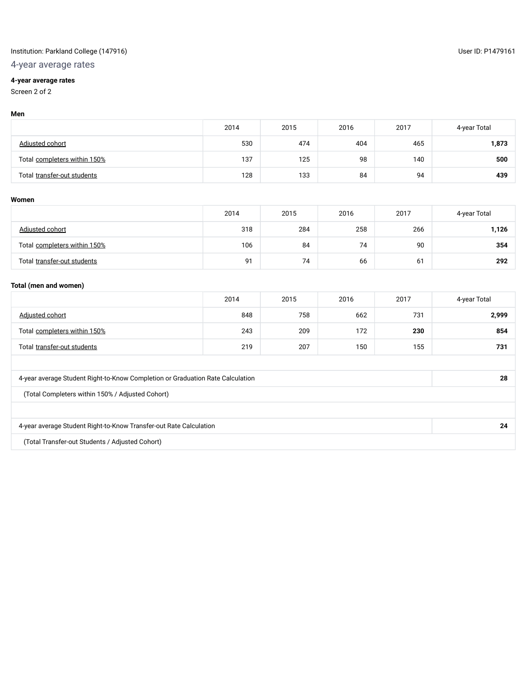## Institution: Parkland College (147916) and the USE of the USE of the USE of the USE of the USE of the USE of the USE of the USE of the USE of the USE of the USE of the USE of the USE of the USE of the USE of the USE of the

# 4-year average rates

## **4-year average rates**

Screen 2 of 2

#### **Men**

|                              | 2014 | 2015 | 2016 | 2017 | 4-year Total |
|------------------------------|------|------|------|------|--------------|
| Adjusted cohort              | 530  | 474  | 404  | 465  | 1,873        |
| Total completers within 150% | 137  | 125  | 98   | 140  | 500          |
| Total transfer-out students  | 128  | 133  | 84   | 94   | 439          |

#### **Women**

|                              | 2014 | 2015 | 2016 | 2017 | 4-year Total |
|------------------------------|------|------|------|------|--------------|
| Adjusted cohort              | 318  | 284  | 258  | 266  | 1,126        |
| Total completers within 150% | 106  | 84   | 74   | 90   | 354          |
| Total transfer-out students  | 91   | 74   | 66   | 61   | 292          |

#### **Total (men and women)**

|                                                                                | 2014 | 2015 | 2016 | 2017 | 4-year Total |
|--------------------------------------------------------------------------------|------|------|------|------|--------------|
| Adjusted cohort                                                                | 848  | 758  | 662  | 731  | 2,999        |
| Total completers within 150%                                                   | 243  | 209  | 172  | 230  | 854          |
| Total transfer-out students                                                    | 219  | 207  | 150  | 155  | 731          |
|                                                                                |      |      |      |      |              |
| 4-year average Student Right-to-Know Completion or Graduation Rate Calculation |      |      |      | 28   |              |

(Total Completers within 150% / Adjusted Cohort)

4-year average Student Right-to-Know Transfer-out Rate Calculation **24**

(Total Transfer-out Students / Adjusted Cohort)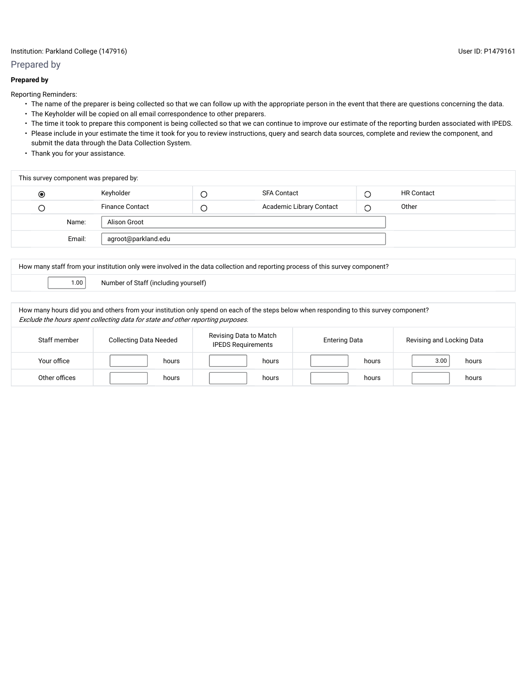#### Prepared by

#### **Prepared by**

Reporting Reminders:

- The name of the preparer is being collected so that we can follow up with the appropriate person in the event that there are questions concerning the data.
- The Keyholder will be copied on all email correspondence to other preparers.
- The time it took to prepare this component is being collected so that we can continue to improve our estimate of the reporting burden associated with IPEDS. • Please include in your estimate the time it took for you to review instructions, query and search data sources, complete and review the component, and submit the data through the Data Collection System.
- Thank you for your assistance.

| This survey component was prepared by: |        |                        |   |                          |  |                   |
|----------------------------------------|--------|------------------------|---|--------------------------|--|-------------------|
| $\circledcirc$                         |        | Keyholder              | ╰ | <b>SFA Contact</b>       |  | <b>HR Contact</b> |
| О                                      |        | <b>Finance Contact</b> | Ć | Academic Library Contact |  | Other             |
|                                        | Name:  | Alison Groot           |   |                          |  |                   |
|                                        | Email: | agroot@parkland.edu    |   |                          |  |                   |
|                                        |        |                        |   |                          |  |                   |

How many staff from your institution only were involved in the data collection and reporting process of this survey component?

1.00 Number of Staff (including yourself)

How many hours did you and others from your institution only spend on each of the steps below when responding to this survey component? Exclude the hours spent collecting data for state and other reporting purposes.

| Staff member  | <b>Collecting Data Needed</b> | Revising Data to Match<br><b>Entering Data</b><br><b>IPEDS Requirements</b> |       | Revising and Locking Data |  |
|---------------|-------------------------------|-----------------------------------------------------------------------------|-------|---------------------------|--|
| Your office   | hours                         | hours                                                                       | hours | 3.00<br>hours             |  |
| Other offices | hours                         | hours                                                                       | hours | hours                     |  |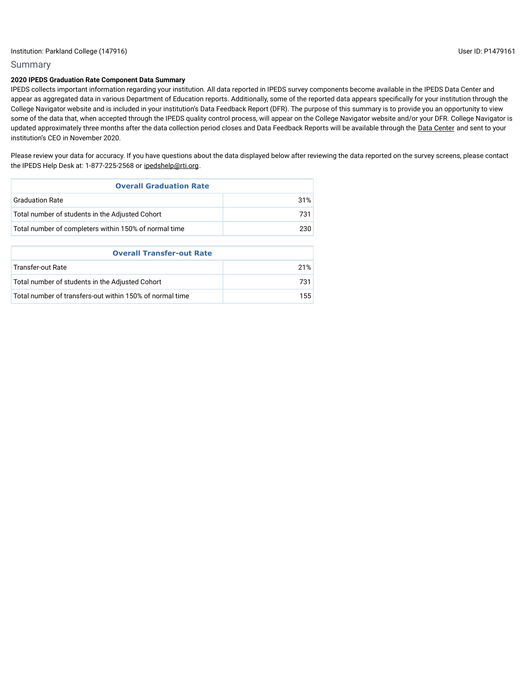## Summary

#### **2020 IPEDS Graduation Rate Component Data Summary**

IPEDS collects important information regarding your institution. All data reported in IPEDS survey components become available in the IPEDS Data Center and appear as aggregated data in various Department of Education reports. Additionally, some of the reported data appears specifically for your institution through the College Navigator website and is included in your institution's Data Feedback Report (DFR). The purpose of this summary is to provide you an opportunity to view some of the data that, when accepted through the IPEDS quality control process, will appear on the College Navigator website and/or your DFR. College Navigator is updated approximately three months after the data collection period closes and Data Feedback Reports will be available through the Data Center and sent to your institution's CEO in November 2020.

Please review your data for accuracy. If you have questions about the data displayed below after reviewing the data reported on the survey screens, please contact the IPEDS Help Desk at: 1-877-225-2568 or ipedshelp@rti.org.

| <b>Overall Graduation Rate</b>                           |     |  |  |  |
|----------------------------------------------------------|-----|--|--|--|
| <b>Graduation Rate</b>                                   | 31% |  |  |  |
| Total number of students in the Adjusted Cohort          | 731 |  |  |  |
| Total number of completers within 150% of normal time    | 230 |  |  |  |
|                                                          |     |  |  |  |
| <b>Overall Transfer-out Rate</b>                         |     |  |  |  |
| <b>Transfer-out Rate</b>                                 | 21% |  |  |  |
| Total number of students in the Adjusted Cohort          | 731 |  |  |  |
| Total number of transfers-out within 150% of normal time | 155 |  |  |  |